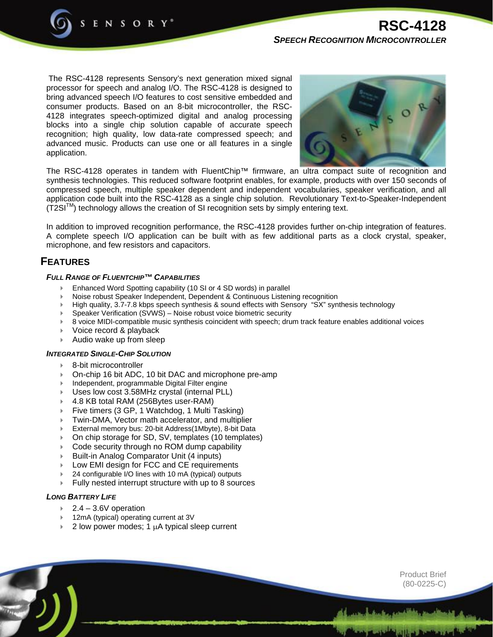

 The RSC-4128 represents Sensory's next generation mixed signal processor for speech and analog I/O. The RSC-4128 is designed to bring advanced speech I/O features to cost sensitive embedded and consumer products. Based on an 8-bit microcontroller, the RSC-4128 integrates speech-optimized digital and analog processing blocks into a single chip solution capable of accurate speech recognition; high quality, low data-rate compressed speech; and advanced music. Products can use one or all features in a single application.



The RSC-4128 operates in tandem with FluentChip™ firmware, an ultra compact suite of recognition and synthesis technologies. This reduced software footprint enables, for example, products with over 150 seconds of compressed speech, multiple speaker dependent and independent vocabularies, speaker verification, and all application code built into the RSC-4128 as a single chip solution. Revolutionary Text-to-Speaker-Independent  $(T2SI<sup>TM</sup>)$  technology allows the creation of SI recognition sets by simply entering text.

In addition to improved recognition performance, the RSC-4128 provides further on-chip integration of features. A complete speech I/O application can be built with as few additional parts as a clock crystal, speaker, microphone, and few resistors and capacitors.

# **FEATURES**

## *FULL RANGE OF FLUENTCHIP™ CAPABILITIES*

- Enhanced Word Spotting capability (10 SI or 4 SD words) in parallel
- Noise robust Speaker Independent, Dependent & Continuous Listening recognition
- High quality, 3.7-7.8 kbps speech synthesis & sound effects with Sensory "SX" synthesis technology
- Speaker Verification (SVWS) Noise robust voice biometric security
- 8 voice MIDI-compatible music synthesis coincident with speech; drum track feature enables additional voices
- Voice record & playback
- Audio wake up from sleep

### *INTEGRATED SINGLE-CHIP SOLUTION*

- 8-bit microcontroller
- On-chip 16 bit ADC, 10 bit DAC and microphone pre-amp
- Independent, programmable Digital Filter engine
- Uses low cost 3.58MHz crystal (internal PLL)
- 4.8 KB total RAM (256Bytes user-RAM)
- Five timers (3 GP, 1 Watchdog, 1 Multi Tasking)
- Twin-DMA, Vector math accelerator, and multiplier
- External memory bus: 20-bit Address(1Mbyte), 8-bit Data
- On chip storage for SD, SV, templates (10 templates)
- Code security through no ROM dump capability
- Built-in Analog Comparator Unit (4 inputs)
- Low EMI design for FCC and CE requirements
- 24 configurable I/O lines with 10 mA (typical) outputs
- Fully nested interrupt structure with up to 8 sources

## *LONG BATTERY LIFE*

- $2.4 3.6V$  operation
- 12mA (typical) operating current at 3V
- 2 low power modes; 1 µA typical sleep current

Product Brief (80-0225-C)